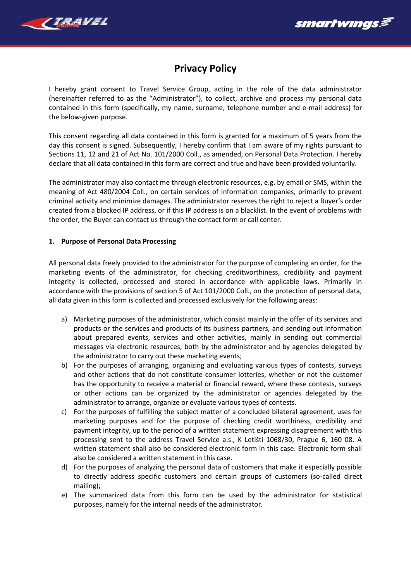



# **Privacy Policy**

I hereby grant consent to Travel Service Group, acting in the role of the data administrator (hereinafter referred to as the "Administrator"), to collect, archive and process my personal data contained in this form (specifically, my name, surname, telephone number and e-mail address) for the below-given purpose.

This consent regarding all data contained in this form is granted for a maximum of 5 years from the day this consent is signed. Subsequently, I hereby confirm that I am aware of my rights pursuant to Sections 11, 12 and 21 of Act No. 101/2000 Coll., as amended, on Personal Data Protection. I hereby declare that all data contained in this form are correct and true and have been provided voluntarily.

The administrator may also contact me through electronic resources, e.g. by email or SMS, within the meaning of Act 480/2004 Coll., on certain services of information companies, primarily to prevent criminal activity and minimize damages. The administrator reserves the right to reject a Buyer's order created from a blocked IP address, or if this IP address is on a blacklist. In the event of problems with the order, the Buyer can contact us through the contact form or call center.

# **1. Purpose of Personal Data Processing**

All personal data freely provided to the administrator for the purpose of completing an order, for the marketing events of the administrator, for checking creditworthiness, credibility and payment integrity is collected, processed and stored in accordance with applicable laws. Primarily in accordance with the provisions of section 5 of Act 101/2000 Coll., on the protection of personal data, all data given in this form is collected and processed exclusively for the following areas:

- a) Marketing purposes of the administrator, which consist mainly in the offer of its services and products or the services and products of its business partners, and sending out information about prepared events, services and other activities, mainly in sending out commercial messages via electronic resources, both by the administrator and by agencies delegated by the administrator to carry out these marketing events;
- b) For the purposes of arranging, organizing and evaluating various types of contests, surveys and other actions that do not constitute consumer lotteries, whether or not the customer has the opportunity to receive a material or financial reward, where these contests, surveys or other actions can be organized by the administrator or agencies delegated by the administrator to arrange, organize or evaluate various types of contests.
- c) For the purposes of fulfilling the subject matter of a concluded bilateral agreement, uses for marketing purposes and for the purpose of checking credit worthiness, credibility and payment integrity, up to the period of a written statement expressing disagreement with this processing sent to the address Travel Service a.s., K Letišti 1068/30, Prague 6, 160 08. A written statement shall also be considered electronic form in this case. Electronic form shall also be considered a written statement in this case.
- d) For the purposes of analyzing the personal data of customers that make it especially possible to directly address specific customers and certain groups of customers (so-called direct mailing);
- e) The summarized data from this form can be used by the administrator for statistical purposes, namely for the internal needs of the administrator.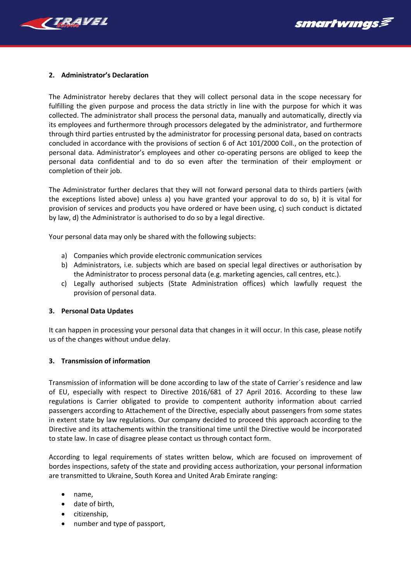



## **2. Administrator's Declaration**

The Administrator hereby declares that they will collect personal data in the scope necessary for fulfilling the given purpose and process the data strictly in line with the purpose for which it was collected. The administrator shall process the personal data, manually and automatically, directly via its employees and furthermore through processors delegated by the administrator, and furthermore through third parties entrusted by the administrator for processing personal data, based on contracts concluded in accordance with the provisions of section 6 of Act 101/2000 Coll., on the protection of personal data. Administrator's employees and other co-operating persons are obliged to keep the personal data confidential and to do so even after the termination of their employment or completion of their job.

The Administrator further declares that they will not forward personal data to thirds partiers (with the exceptions listed above) unless a) you have granted your approval to do so, b) it is vital for provision of services and products you have ordered or have been using, c) such conduct is dictated by law, d) the Administrator is authorised to do so by a legal directive.

Your personal data may only be shared with the following subjects:

- a) Companies which provide electronic communication services
- b) Administrators, i.e. subjects which are based on special legal directives or authorisation by the Administrator to process personal data (e.g. marketing agencies, call centres, etc.).
- c) Legally authorised subjects (State Administration offices) which lawfully request the provision of personal data.

#### **3. Personal Data Updates**

It can happen in processing your personal data that changes in it will occur. In this case, please notify us of the changes without undue delay.

#### **3. Transmission of information**

Transmission of information will be done according to law of the state of Carrier´s residence and law of EU, especially with respect to Directive 2016/681 of 27 April 2016. According to these law regulations is Carrier obligated to provide to compentent authority information about carried passengers according to Attachement of the Directive, especially about passengers from some states in extent state by law regulations. Our company decided to proceed this approach according to the Directive and its attachements within the transitional time until the Directive would be incorporated to state law. In case of disagree please contact us through contact form.

According to legal requirements of states written below, which are focused on improvement of bordes inspections, safety of the state and providing access authorization, your personal information are transmitted to Ukraine, South Korea and United Arab Emirate ranging:

- name,
- date of birth,
- citizenship,
- number and type of passport,